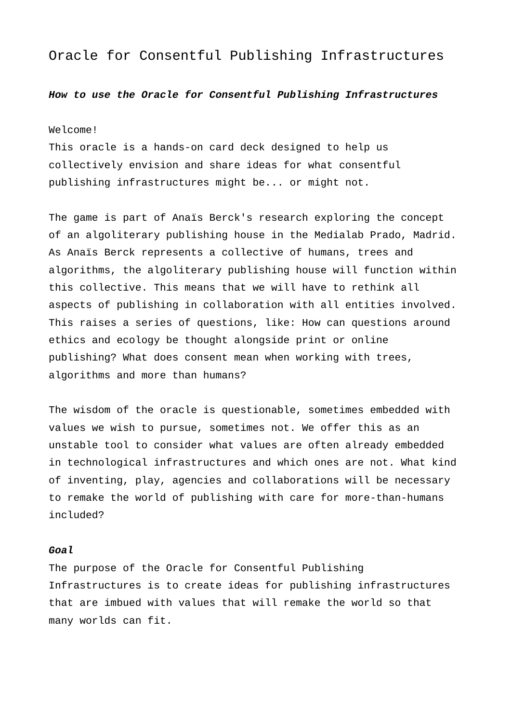# Oracle for Consentful Publishing Infrastructures

## *How to use the Oracle for Consentful Publishing Infrastructures*

#### Welcome!

This oracle is a hands-on card deck designed to help us collectively envision and share ideas for what consentful publishing infrastructures might be... or might not.

The game is part of Anaïs Berck's research exploring the concept of an algoliterary publishing house in the Medialab Prado, Madrid. As Anaïs Berck represents a collective of humans, trees and algorithms, the algoliterary publishing house will function within this collective. This means that we will have to rethink all aspects of publishing in collaboration with all entities involved. This raises a series of questions, like: How can questions around ethics and ecology be thought alongside print or online publishing? What does consent mean when working with trees, algorithms and more than humans?

The wisdom of the oracle is questionable, sometimes embedded with values we wish to pursue, sometimes not. We offer this as an unstable tool to consider what values are often already embedded in technological infrastructures and which ones are not. What kind of inventing, play, agencies and collaborations will be necessary to remake the world of publishing with care for more-than-humans included?

## *Goal*

The purpose of the Oracle for Consentful Publishing Infrastructures is to create ideas for publishing infrastructures that are imbued with values that will remake the world so that many worlds can fit.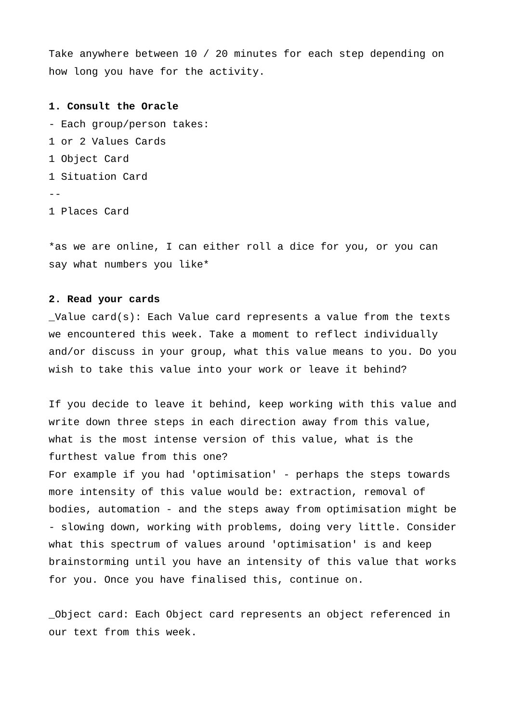Take anywhere between 10 / 20 minutes for each step depending on how long you have for the activity.

**1. Consult the Oracle** - Each group/person takes: 1 or 2 Values Cards 1 Object Card 1 Situation Card -- 1 Places Card

\*as we are online, I can either roll a dice for you, or you can say what numbers you like\*

#### **2. Read your cards**

Value card(s): Each Value card represents a value from the texts we encountered this week. Take a moment to reflect individually and/or discuss in your group, what this value means to you. Do you wish to take this value into your work or leave it behind?

If you decide to leave it behind, keep working with this value and write down three steps in each direction away from this value, what is the most intense version of this value, what is the furthest value from this one? For example if you had 'optimisation' - perhaps the steps towards more intensity of this value would be: extraction, removal of bodies, automation - and the steps away from optimisation might be - slowing down, working with problems, doing very little. Consider what this spectrum of values around 'optimisation' is and keep brainstorming until you have an intensity of this value that works for you. Once you have finalised this, continue on.

\_Object card: Each Object card represents an object referenced in our text from this week.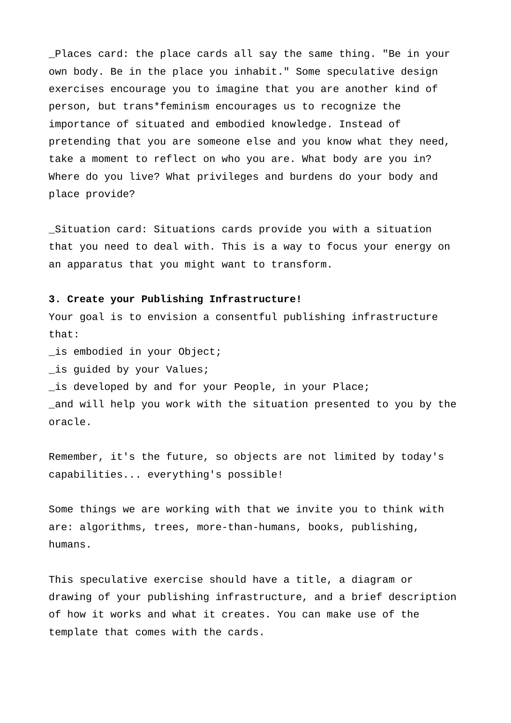\_Places card: the place cards all say the same thing. "Be in your own body. Be in the place you inhabit." Some speculative design exercises encourage you to imagine that you are another kind of person, but trans\*feminism encourages us to recognize the importance of situated and embodied knowledge. Instead of pretending that you are someone else and you know what they need, take a moment to reflect on who you are. What body are you in? Where do you live? What privileges and burdens do your body and place provide?

\_Situation card: Situations cards provide you with a situation that you need to deal with. This is a way to focus your energy on an apparatus that you might want to transform.

#### **3. Create your Publishing Infrastructure!**

Your goal is to envision a consentful publishing infrastructure that:

\_is embodied in your Object;

\_is guided by your Values;

\_is developed by and for your People, in your Place;

\_and will help you work with the situation presented to you by the oracle.

Remember, it's the future, so objects are not limited by today's capabilities... everything's possible!

Some things we are working with that we invite you to think with are: algorithms, trees, more-than-humans, books, publishing, humans.

This speculative exercise should have a title, a diagram or drawing of your publishing infrastructure, and a brief description of how it works and what it creates. You can make use of the template that comes with the cards.